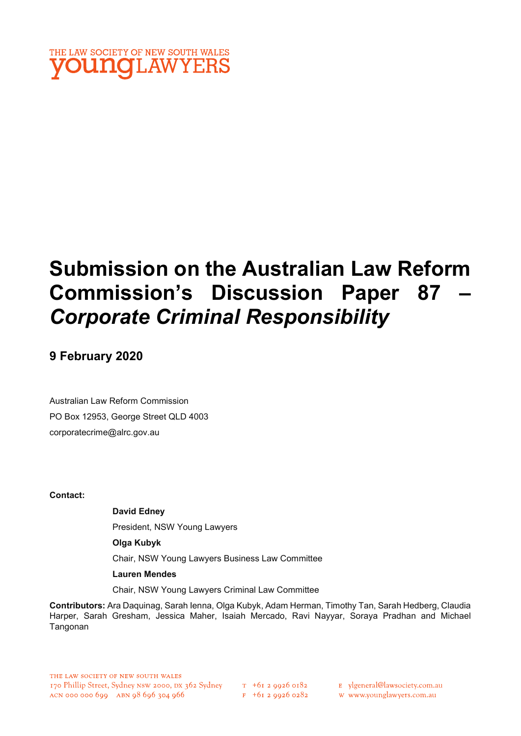

# Submission on the Australian Law Reform Commission's Discussion Paper 87 – Corporate Criminal Responsibility

## 9 February 2020

Australian Law Reform Commission PO Box 12953, George Street QLD 4003 corporatecrime@alrc.gov.au

Contact:

David Edney

President, NSW Young Lawyers

Olga Kubyk

Chair, NSW Young Lawyers Business Law Committee

Lauren Mendes

Chair, NSW Young Lawyers Criminal Law Committee

Contributors: Ara Daquinag, Sarah Ienna, Olga Kubyk, Adam Herman, Timothy Tan, Sarah Hedberg, Claudia Harper, Sarah Gresham, Jessica Maher, Isaiah Mercado, Ravi Nayyar, Soraya Pradhan and Michael Tangonan

 $F + 6I$  2 9926 0282

E ylgeneral@lawsociety.com.au

w www.younglawyers.com.au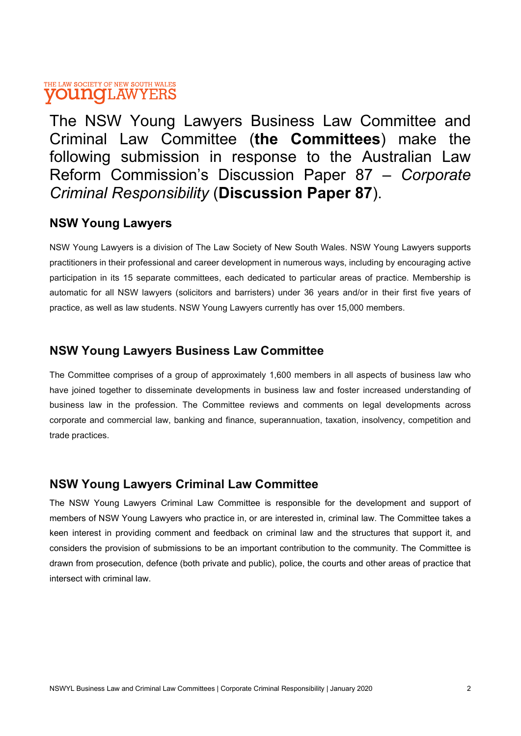The NSW Young Lawyers Business Law Committee and Criminal Law Committee (the Committees) make the following submission in response to the Australian Law Reform Commission's Discussion Paper 87 – Corporate Criminal Responsibility (Discussion Paper 87).

### NSW Young Lawyers

NSW Young Lawyers is a division of The Law Society of New South Wales. NSW Young Lawyers supports practitioners in their professional and career development in numerous ways, including by encouraging active participation in its 15 separate committees, each dedicated to particular areas of practice. Membership is automatic for all NSW lawyers (solicitors and barristers) under 36 years and/or in their first five years of practice, as well as law students. NSW Young Lawyers currently has over 15,000 members.

## NSW Young Lawyers Business Law Committee

The Committee comprises of a group of approximately 1,600 members in all aspects of business law who have joined together to disseminate developments in business law and foster increased understanding of business law in the profession. The Committee reviews and comments on legal developments across corporate and commercial law, banking and finance, superannuation, taxation, insolvency, competition and trade practices.

## NSW Young Lawyers Criminal Law Committee

The NSW Young Lawyers Criminal Law Committee is responsible for the development and support of members of NSW Young Lawyers who practice in, or are interested in, criminal law. The Committee takes a keen interest in providing comment and feedback on criminal law and the structures that support it, and considers the provision of submissions to be an important contribution to the community. The Committee is drawn from prosecution, defence (both private and public), police, the courts and other areas of practice that intersect with criminal law.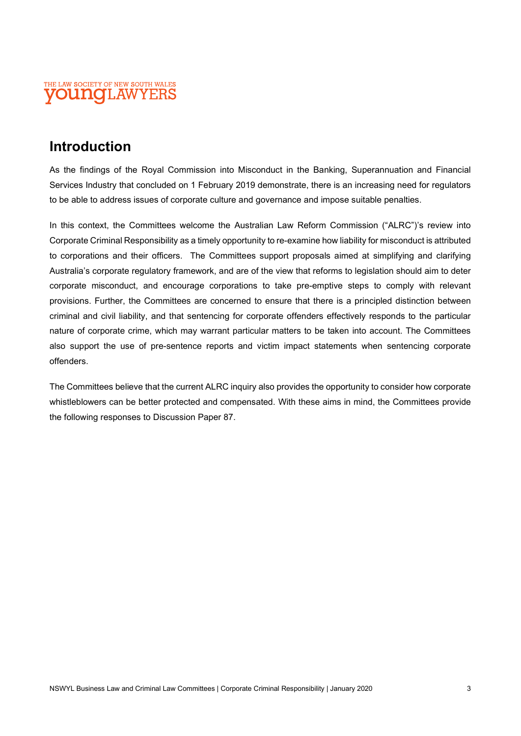

## Introduction

As the findings of the Royal Commission into Misconduct in the Banking, Superannuation and Financial Services Industry that concluded on 1 February 2019 demonstrate, there is an increasing need for regulators to be able to address issues of corporate culture and governance and impose suitable penalties.

In this context, the Committees welcome the Australian Law Reform Commission ("ALRC")'s review into Corporate Criminal Responsibility as a timely opportunity to re-examine how liability for misconduct is attributed to corporations and their officers. The Committees support proposals aimed at simplifying and clarifying Australia's corporate regulatory framework, and are of the view that reforms to legislation should aim to deter corporate misconduct, and encourage corporations to take pre-emptive steps to comply with relevant provisions. Further, the Committees are concerned to ensure that there is a principled distinction between criminal and civil liability, and that sentencing for corporate offenders effectively responds to the particular nature of corporate crime, which may warrant particular matters to be taken into account. The Committees also support the use of pre-sentence reports and victim impact statements when sentencing corporate offenders.

The Committees believe that the current ALRC inquiry also provides the opportunity to consider how corporate whistleblowers can be better protected and compensated. With these aims in mind, the Committees provide the following responses to Discussion Paper 87.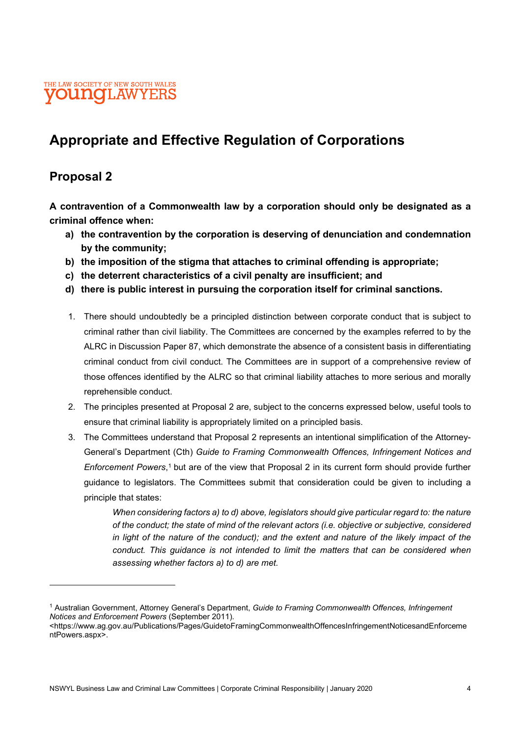

## Appropriate and Effective Regulation of Corporations

## Proposal 2

A contravention of a Commonwealth law by a corporation should only be designated as a criminal offence when:

- a) the contravention by the corporation is deserving of denunciation and condemnation by the community;
- b) the imposition of the stigma that attaches to criminal offending is appropriate;
- c) the deterrent characteristics of a civil penalty are insufficient; and
- d) there is public interest in pursuing the corporation itself for criminal sanctions.
- 1. There should undoubtedly be a principled distinction between corporate conduct that is subject to criminal rather than civil liability. The Committees are concerned by the examples referred to by the ALRC in Discussion Paper 87, which demonstrate the absence of a consistent basis in differentiating criminal conduct from civil conduct. The Committees are in support of a comprehensive review of those offences identified by the ALRC so that criminal liability attaches to more serious and morally reprehensible conduct.
- 2. The principles presented at Proposal 2 are, subject to the concerns expressed below, useful tools to ensure that criminal liability is appropriately limited on a principled basis.
- 3. The Committees understand that Proposal 2 represents an intentional simplification of the Attorney-General's Department (Cth) Guide to Framing Commonwealth Offences, Infringement Notices and Enforcement Powers,<sup>1</sup> but are of the view that Proposal 2 in its current form should provide further guidance to legislators. The Committees submit that consideration could be given to including a principle that states:

When considering factors a) to d) above, legislators should give particular regard to: the nature of the conduct; the state of mind of the relevant actors (i.e. objective or subjective, considered in light of the nature of the conduct); and the extent and nature of the likely impact of the conduct. This guidance is not intended to limit the matters that can be considered when assessing whether factors a) to d) are met.

<sup>&</sup>lt;sup>1</sup> Australian Government, Attorney General's Department, Guide to Framing Commonwealth Offences, Infringement Notices and Enforcement Powers (September 2011).

<sup>&</sup>lt;https://www.ag.gov.au/Publications/Pages/GuidetoFramingCommonwealthOffencesInfringementNoticesandEnforceme ntPowers.aspx>.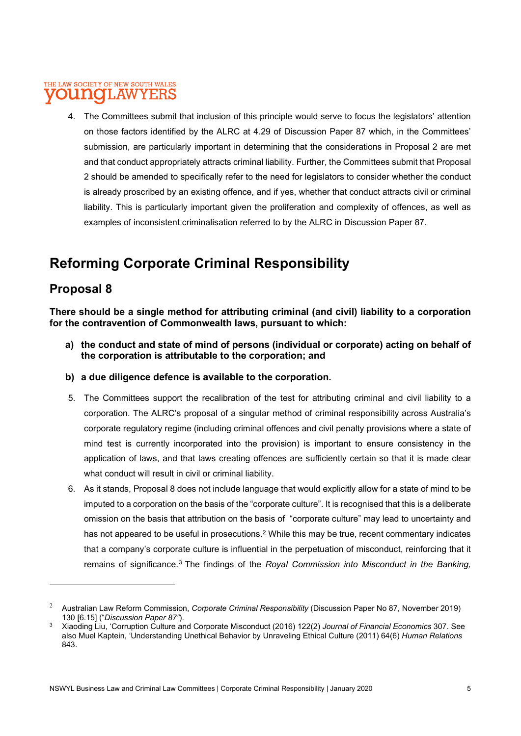4. The Committees submit that inclusion of this principle would serve to focus the legislators' attention on those factors identified by the ALRC at 4.29 of Discussion Paper 87 which, in the Committees' submission, are particularly important in determining that the considerations in Proposal 2 are met and that conduct appropriately attracts criminal liability. Further, the Committees submit that Proposal 2 should be amended to specifically refer to the need for legislators to consider whether the conduct is already proscribed by an existing offence, and if yes, whether that conduct attracts civil or criminal liability. This is particularly important given the proliferation and complexity of offences, as well as examples of inconsistent criminalisation referred to by the ALRC in Discussion Paper 87.

## Reforming Corporate Criminal Responsibility

## Proposal 8

There should be a single method for attributing criminal (and civil) liability to a corporation for the contravention of Commonwealth laws, pursuant to which:

- a) the conduct and state of mind of persons (individual or corporate) acting on behalf of the corporation is attributable to the corporation; and
- b) a due diligence defence is available to the corporation.
- 5. The Committees support the recalibration of the test for attributing criminal and civil liability to a corporation. The ALRC's proposal of a singular method of criminal responsibility across Australia's corporate regulatory regime (including criminal offences and civil penalty provisions where a state of mind test is currently incorporated into the provision) is important to ensure consistency in the application of laws, and that laws creating offences are sufficiently certain so that it is made clear what conduct will result in civil or criminal liability.
- 6. As it stands, Proposal 8 does not include language that would explicitly allow for a state of mind to be imputed to a corporation on the basis of the "corporate culture". It is recognised that this is a deliberate omission on the basis that attribution on the basis of "corporate culture" may lead to uncertainty and has not appeared to be useful in prosecutions.<sup>2</sup> While this may be true, recent commentary indicates that a company's corporate culture is influential in the perpetuation of misconduct, reinforcing that it remains of significance.<sup>3</sup> The findings of the Royal Commission into Misconduct in the Banking,

<sup>2</sup> Australian Law Reform Commission, Corporate Criminal Responsibility (Discussion Paper No 87, November 2019) 130 [6.15] ("Discussion Paper 87").

<sup>3</sup> Xiaoding Liu, 'Corruption Culture and Corporate Misconduct (2016) 122(2) Journal of Financial Economics 307. See also Muel Kaptein, 'Understanding Unethical Behavior by Unraveling Ethical Culture (2011) 64(6) Human Relations 843.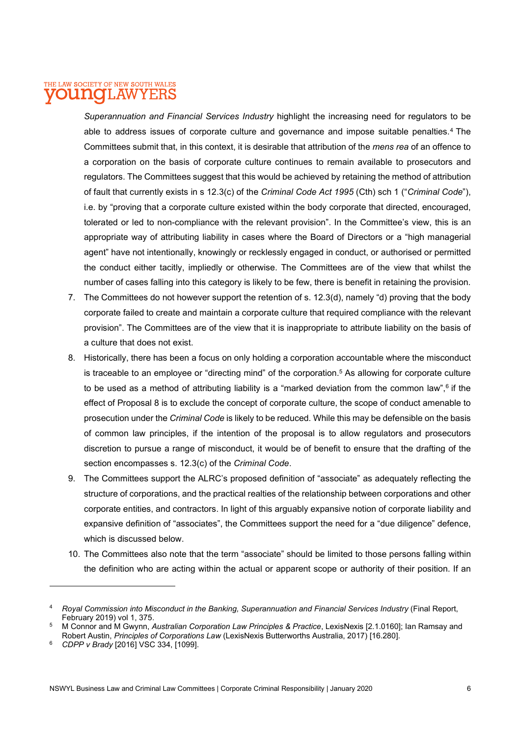Superannuation and Financial Services Industry highlight the increasing need for regulators to be able to address issues of corporate culture and governance and impose suitable penalties.<sup>4</sup> The Committees submit that, in this context, it is desirable that attribution of the mens rea of an offence to a corporation on the basis of corporate culture continues to remain available to prosecutors and regulators. The Committees suggest that this would be achieved by retaining the method of attribution of fault that currently exists in s 12.3(c) of the Criminal Code Act 1995 (Cth) sch 1 ("Criminal Code"), i.e. by "proving that a corporate culture existed within the body corporate that directed, encouraged, tolerated or led to non-compliance with the relevant provision". In the Committee's view, this is an appropriate way of attributing liability in cases where the Board of Directors or a "high managerial agent" have not intentionally, knowingly or recklessly engaged in conduct, or authorised or permitted the conduct either tacitly, impliedly or otherwise. The Committees are of the view that whilst the number of cases falling into this category is likely to be few, there is benefit in retaining the provision.

- 7. The Committees do not however support the retention of s. 12.3(d), namely "d) proving that the body corporate failed to create and maintain a corporate culture that required compliance with the relevant provision". The Committees are of the view that it is inappropriate to attribute liability on the basis of a culture that does not exist.
- 8. Historically, there has been a focus on only holding a corporation accountable where the misconduct is traceable to an employee or "directing mind" of the corporation.<sup>5</sup> As allowing for corporate culture to be used as a method of attributing liability is a "marked deviation from the common law",  $6$  if the effect of Proposal 8 is to exclude the concept of corporate culture, the scope of conduct amenable to prosecution under the Criminal Code is likely to be reduced. While this may be defensible on the basis of common law principles, if the intention of the proposal is to allow regulators and prosecutors discretion to pursue a range of misconduct, it would be of benefit to ensure that the drafting of the section encompasses s. 12.3(c) of the Criminal Code.
- 9. The Committees support the ALRC's proposed definition of "associate" as adequately reflecting the structure of corporations, and the practical realties of the relationship between corporations and other corporate entities, and contractors. In light of this arguably expansive notion of corporate liability and expansive definition of "associates", the Committees support the need for a "due diligence" defence, which is discussed below.
- 10. The Committees also note that the term "associate" should be limited to those persons falling within the definition who are acting within the actual or apparent scope or authority of their position. If an

<sup>4</sup> Royal Commission into Misconduct in the Banking, Superannuation and Financial Services Industry (Final Report, February 2019) vol 1, 375.

<sup>&</sup>lt;sup>5</sup> M Connor and M Gwynn, *Australian Corporation Law Principles & Practice*, LexisNexis [2.1.0160]; Ian Ramsay and Robert Austin, Principles of Corporations Law (LexisNexis Butterworths Australia, 2017) [16.280].

<sup>6</sup> CDPP v Brady [2016] VSC 334, [1099].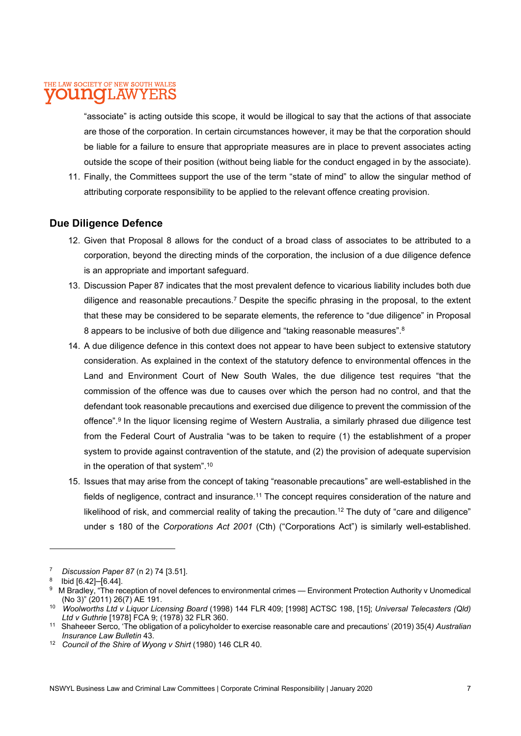"associate" is acting outside this scope, it would be illogical to say that the actions of that associate are those of the corporation. In certain circumstances however, it may be that the corporation should be liable for a failure to ensure that appropriate measures are in place to prevent associates acting outside the scope of their position (without being liable for the conduct engaged in by the associate).

11. Finally, the Committees support the use of the term "state of mind" to allow the singular method of attributing corporate responsibility to be applied to the relevant offence creating provision.

#### Due Diligence Defence

- 12. Given that Proposal 8 allows for the conduct of a broad class of associates to be attributed to a corporation, beyond the directing minds of the corporation, the inclusion of a due diligence defence is an appropriate and important safeguard.
- 13. Discussion Paper 87 indicates that the most prevalent defence to vicarious liability includes both due diligence and reasonable precautions.<sup>7</sup> Despite the specific phrasing in the proposal, to the extent that these may be considered to be separate elements, the reference to "due diligence" in Proposal 8 appears to be inclusive of both due diligence and "taking reasonable measures".<sup>8</sup>
- 14. A due diligence defence in this context does not appear to have been subject to extensive statutory consideration. As explained in the context of the statutory defence to environmental offences in the Land and Environment Court of New South Wales, the due diligence test requires "that the commission of the offence was due to causes over which the person had no control, and that the defendant took reasonable precautions and exercised due diligence to prevent the commission of the offence".<sup>9</sup> In the liquor licensing regime of Western Australia, a similarly phrased due diligence test from the Federal Court of Australia "was to be taken to require (1) the establishment of a proper system to provide against contravention of the statute, and (2) the provision of adequate supervision in the operation of that system".<sup>10</sup>
- 15. Issues that may arise from the concept of taking "reasonable precautions" are well-established in the fields of negligence, contract and insurance.<sup>11</sup> The concept requires consideration of the nature and likelihood of risk, and commercial reality of taking the precaution.<sup>12</sup> The duty of "care and diligence" under s 180 of the Corporations Act 2001 (Cth) ("Corporations Act") is similarly well-established.

<sup>7</sup> Discussion Paper 87 (n 2) 74 [3.51].

 $^8$  Ibid [6.42]–[6.44].

<sup>&</sup>lt;sup>9</sup> M Bradley, "The reception of novel defences to environmental crimes — Environment Protection Authority v Unomedical (No 3)" (2011) 26(7) AE 191.

<sup>10</sup> Woolworths Ltd v Liquor Licensing Board (1998) 144 FLR 409; [1998] ACTSC 198, [15]; Universal Telecasters (Qld) Ltd v Guthrie [1978] FCA 9; (1978) 32 FLR 360.

<sup>&</sup>lt;sup>11</sup> Shaheeer Serco, 'The obligation of a policyholder to exercise reasonable care and precautions' (2019) 35(4) Australian Insurance Law Bulletin 43.

<sup>&</sup>lt;sup>12</sup> Council of the Shire of Wyong v Shirt (1980) 146 CLR 40.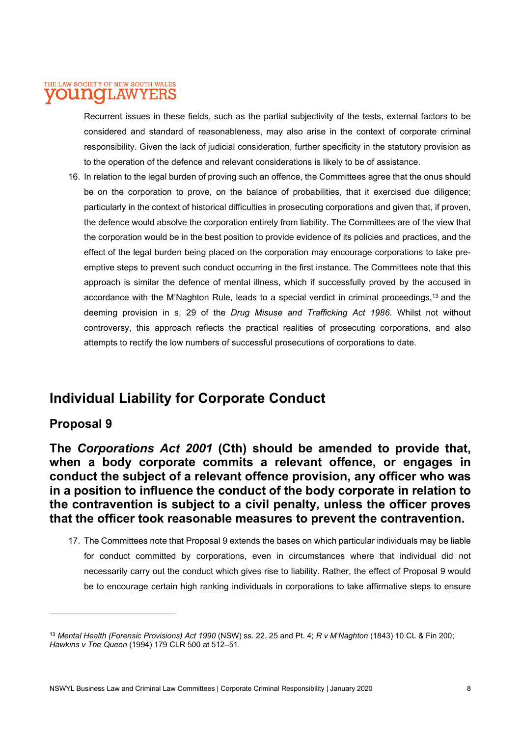Recurrent issues in these fields, such as the partial subjectivity of the tests, external factors to be considered and standard of reasonableness, may also arise in the context of corporate criminal responsibility. Given the lack of judicial consideration, further specificity in the statutory provision as to the operation of the defence and relevant considerations is likely to be of assistance.

16. In relation to the legal burden of proving such an offence, the Committees agree that the onus should be on the corporation to prove, on the balance of probabilities, that it exercised due diligence; particularly in the context of historical difficulties in prosecuting corporations and given that, if proven, the defence would absolve the corporation entirely from liability. The Committees are of the view that the corporation would be in the best position to provide evidence of its policies and practices, and the effect of the legal burden being placed on the corporation may encourage corporations to take preemptive steps to prevent such conduct occurring in the first instance. The Committees note that this approach is similar the defence of mental illness, which if successfully proved by the accused in accordance with the M'Naghton Rule, leads to a special verdict in criminal proceedings,<sup>13</sup> and the deeming provision in s. 29 of the Drug Misuse and Trafficking Act 1986. Whilst not without controversy, this approach reflects the practical realities of prosecuting corporations, and also attempts to rectify the low numbers of successful prosecutions of corporations to date.

## Individual Liability for Corporate Conduct

## Proposal 9

The Corporations Act 2001 (Cth) should be amended to provide that, when a body corporate commits a relevant offence, or engages in conduct the subject of a relevant offence provision, any officer who was in a position to influence the conduct of the body corporate in relation to the contravention is subject to a civil penalty, unless the officer proves that the officer took reasonable measures to prevent the contravention.

17. The Committees note that Proposal 9 extends the bases on which particular individuals may be liable for conduct committed by corporations, even in circumstances where that individual did not necessarily carry out the conduct which gives rise to liability. Rather, the effect of Proposal 9 would be to encourage certain high ranking individuals in corporations to take affirmative steps to ensure

<sup>&</sup>lt;sup>13</sup> Mental Health (Forensic Provisions) Act 1990 (NSW) ss. 22, 25 and Pt. 4; R v M'Naghton (1843) 10 CL & Fin 200; Hawkins v The Queen (1994) 179 CLR 500 at 512–51.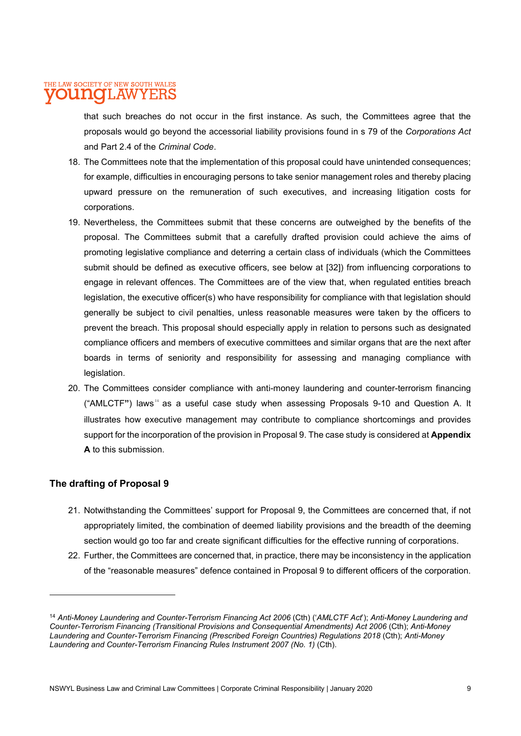that such breaches do not occur in the first instance. As such, the Committees agree that the proposals would go beyond the accessorial liability provisions found in s 79 of the Corporations Act and Part 2.4 of the Criminal Code.

- 18. The Committees note that the implementation of this proposal could have unintended consequences; for example, difficulties in encouraging persons to take senior management roles and thereby placing upward pressure on the remuneration of such executives, and increasing litigation costs for corporations.
- 19. Nevertheless, the Committees submit that these concerns are outweighed by the benefits of the proposal. The Committees submit that a carefully drafted provision could achieve the aims of promoting legislative compliance and deterring a certain class of individuals (which the Committees submit should be defined as executive officers, see below at [32]) from influencing corporations to engage in relevant offences. The Committees are of the view that, when regulated entities breach legislation, the executive officer(s) who have responsibility for compliance with that legislation should generally be subject to civil penalties, unless reasonable measures were taken by the officers to prevent the breach. This proposal should especially apply in relation to persons such as designated compliance officers and members of executive committees and similar organs that are the next after boards in terms of seniority and responsibility for assessing and managing compliance with legislation.
- 20. The Committees consider compliance with anti-money laundering and counter-terrorism financing ("AMLCTF") laws<sup>14</sup> as a useful case study when assessing Proposals 9-10 and Question A. It illustrates how executive management may contribute to compliance shortcomings and provides support for the incorporation of the provision in Proposal 9. The case study is considered at Appendix A to this submission.

#### The drafting of Proposal 9

- 21. Notwithstanding the Committees' support for Proposal 9, the Committees are concerned that, if not appropriately limited, the combination of deemed liability provisions and the breadth of the deeming section would go too far and create significant difficulties for the effective running of corporations.
- 22. Further, the Committees are concerned that, in practice, there may be inconsistency in the application of the "reasonable measures" defence contained in Proposal 9 to different officers of the corporation.

<sup>&</sup>lt;sup>14</sup> Anti-Money Laundering and Counter-Terrorism Financing Act 2006 (Cth) ('AMLCTF Act'); Anti-Money Laundering and Counter-Terrorism Financing (Transitional Provisions and Consequential Amendments) Act 2006 (Cth); Anti-Money Laundering and Counter-Terrorism Financing (Prescribed Foreign Countries) Regulations 2018 (Cth); Anti-Money Laundering and Counter-Terrorism Financing Rules Instrument 2007 (No. 1) (Cth).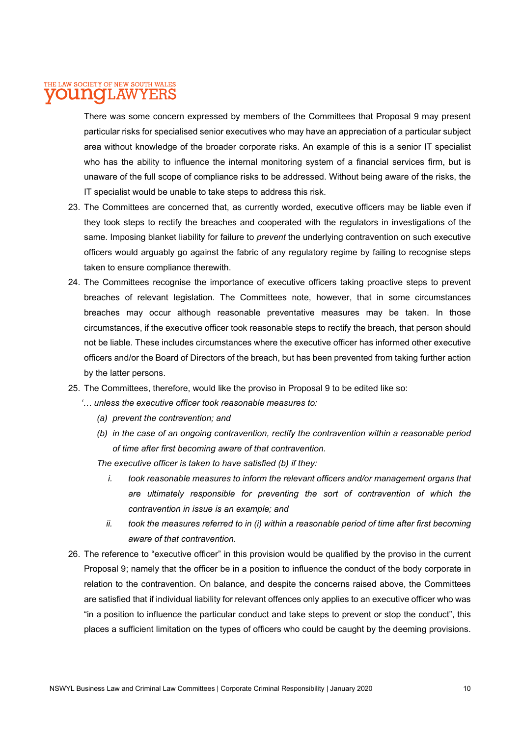There was some concern expressed by members of the Committees that Proposal 9 may present particular risks for specialised senior executives who may have an appreciation of a particular subject area without knowledge of the broader corporate risks. An example of this is a senior IT specialist who has the ability to influence the internal monitoring system of a financial services firm, but is unaware of the full scope of compliance risks to be addressed. Without being aware of the risks, the IT specialist would be unable to take steps to address this risk.

- 23. The Committees are concerned that, as currently worded, executive officers may be liable even if they took steps to rectify the breaches and cooperated with the regulators in investigations of the same. Imposing blanket liability for failure to *prevent* the underlying contravention on such executive officers would arguably go against the fabric of any regulatory regime by failing to recognise steps taken to ensure compliance therewith.
- 24. The Committees recognise the importance of executive officers taking proactive steps to prevent breaches of relevant legislation. The Committees note, however, that in some circumstances breaches may occur although reasonable preventative measures may be taken. In those circumstances, if the executive officer took reasonable steps to rectify the breach, that person should not be liable. These includes circumstances where the executive officer has informed other executive officers and/or the Board of Directors of the breach, but has been prevented from taking further action by the latter persons.
- 25. The Committees, therefore, would like the proviso in Proposal 9 to be edited like so:
	- '… unless the executive officer took reasonable measures to:
		- (a) prevent the contravention; and
		- (b) in the case of an ongoing contravention, rectify the contravention within a reasonable period of time after first becoming aware of that contravention.
		- The executive officer is taken to have satisfied (b) if they:
			- i. took reasonable measures to inform the relevant officers and/or management organs that are ultimately responsible for preventing the sort of contravention of which the contravention in issue is an example; and
			- ii. took the measures referred to in (i) within a reasonable period of time after first becoming aware of that contravention.
- 26. The reference to "executive officer" in this provision would be qualified by the proviso in the current Proposal 9; namely that the officer be in a position to influence the conduct of the body corporate in relation to the contravention. On balance, and despite the concerns raised above, the Committees are satisfied that if individual liability for relevant offences only applies to an executive officer who was "in a position to influence the particular conduct and take steps to prevent or stop the conduct", this places a sufficient limitation on the types of officers who could be caught by the deeming provisions.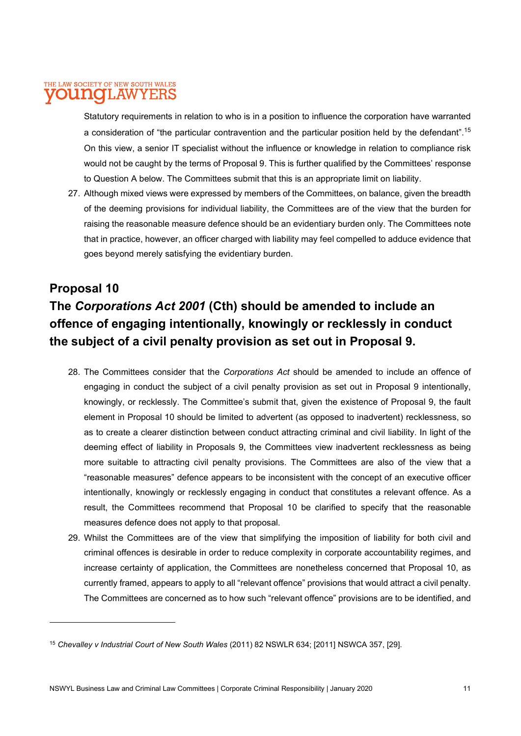Statutory requirements in relation to who is in a position to influence the corporation have warranted a consideration of "the particular contravention and the particular position held by the defendant".<sup>15</sup> On this view, a senior IT specialist without the influence or knowledge in relation to compliance risk would not be caught by the terms of Proposal 9. This is further qualified by the Committees' response to Question A below. The Committees submit that this is an appropriate limit on liability.

27. Although mixed views were expressed by members of the Committees, on balance, given the breadth of the deeming provisions for individual liability, the Committees are of the view that the burden for raising the reasonable measure defence should be an evidentiary burden only. The Committees note that in practice, however, an officer charged with liability may feel compelled to adduce evidence that goes beyond merely satisfying the evidentiary burden.

## Proposal 10 The Corporations Act 2001 (Cth) should be amended to include an offence of engaging intentionally, knowingly or recklessly in conduct the subject of a civil penalty provision as set out in Proposal 9.

- 28. The Committees consider that the Corporations Act should be amended to include an offence of engaging in conduct the subject of a civil penalty provision as set out in Proposal 9 intentionally, knowingly, or recklessly. The Committee's submit that, given the existence of Proposal 9, the fault element in Proposal 10 should be limited to advertent (as opposed to inadvertent) recklessness, so as to create a clearer distinction between conduct attracting criminal and civil liability. In light of the deeming effect of liability in Proposals 9, the Committees view inadvertent recklessness as being more suitable to attracting civil penalty provisions. The Committees are also of the view that a "reasonable measures" defence appears to be inconsistent with the concept of an executive officer intentionally, knowingly or recklessly engaging in conduct that constitutes a relevant offence. As a result, the Committees recommend that Proposal 10 be clarified to specify that the reasonable measures defence does not apply to that proposal.
- 29. Whilst the Committees are of the view that simplifying the imposition of liability for both civil and criminal offences is desirable in order to reduce complexity in corporate accountability regimes, and increase certainty of application, the Committees are nonetheless concerned that Proposal 10, as currently framed, appears to apply to all "relevant offence" provisions that would attract a civil penalty. The Committees are concerned as to how such "relevant offence" provisions are to be identified, and

<sup>&</sup>lt;sup>15</sup> Chevalley v Industrial Court of New South Wales (2011) 82 NSWLR 634; [2011] NSWCA 357, [29].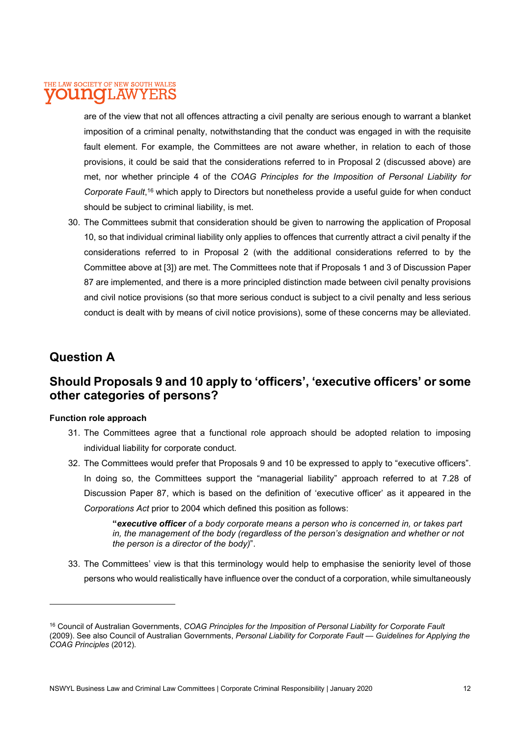are of the view that not all offences attracting a civil penalty are serious enough to warrant a blanket imposition of a criminal penalty, notwithstanding that the conduct was engaged in with the requisite fault element. For example, the Committees are not aware whether, in relation to each of those provisions, it could be said that the considerations referred to in Proposal 2 (discussed above) are met, nor whether principle 4 of the COAG Principles for the Imposition of Personal Liability for Corporate Fault,<sup>16</sup> which apply to Directors but nonetheless provide a useful guide for when conduct should be subject to criminal liability, is met.

30. The Committees submit that consideration should be given to narrowing the application of Proposal 10, so that individual criminal liability only applies to offences that currently attract a civil penalty if the considerations referred to in Proposal 2 (with the additional considerations referred to by the Committee above at [3]) are met. The Committees note that if Proposals 1 and 3 of Discussion Paper 87 are implemented, and there is a more principled distinction made between civil penalty provisions and civil notice provisions (so that more serious conduct is subject to a civil penalty and less serious conduct is dealt with by means of civil notice provisions), some of these concerns may be alleviated.

## Question A

## Should Proposals 9 and 10 apply to 'officers', 'executive officers' or some other categories of persons?

#### Function role approach

- 31. The Committees agree that a functional role approach should be adopted relation to imposing individual liability for corporate conduct.
- 32. The Committees would prefer that Proposals 9 and 10 be expressed to apply to "executive officers". In doing so, the Committees support the "managerial liability" approach referred to at 7.28 of Discussion Paper 87, which is based on the definition of 'executive officer' as it appeared in the Corporations Act prior to 2004 which defined this position as follows:

"executive officer of a body corporate means a person who is concerned in, or takes part in, the management of the body (regardless of the person's designation and whether or not the person is a director of the body)".

33. The Committees' view is that this terminology would help to emphasise the seniority level of those persons who would realistically have influence over the conduct of a corporation, while simultaneously

<sup>&</sup>lt;sup>16</sup> Council of Australian Governments, COAG Principles for the Imposition of Personal Liability for Corporate Fault (2009). See also Council of Australian Governments, Personal Liability for Corporate Fault — Guidelines for Applying the COAG Principles (2012).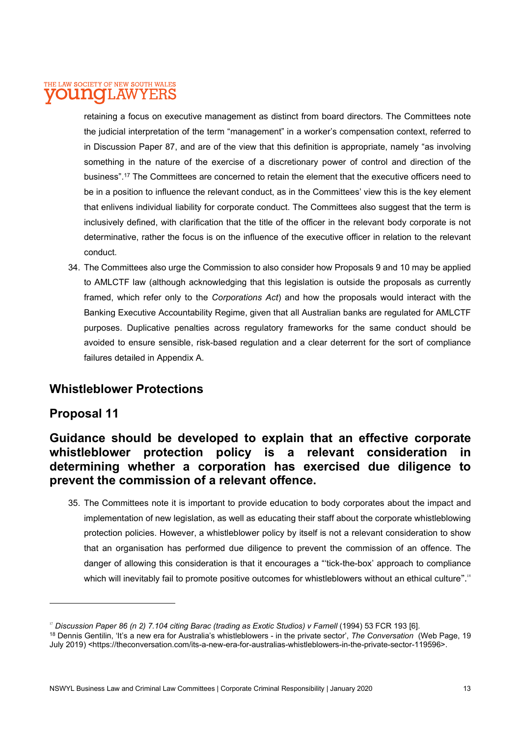retaining a focus on executive management as distinct from board directors. The Committees note the judicial interpretation of the term "management" in a worker's compensation context, referred to in Discussion Paper 87, and are of the view that this definition is appropriate, namely "as involving something in the nature of the exercise of a discretionary power of control and direction of the business".<sup>17</sup> The Committees are concerned to retain the element that the executive officers need to be in a position to influence the relevant conduct, as in the Committees' view this is the key element that enlivens individual liability for corporate conduct. The Committees also suggest that the term is inclusively defined, with clarification that the title of the officer in the relevant body corporate is not determinative, rather the focus is on the influence of the executive officer in relation to the relevant conduct.

34. The Committees also urge the Commission to also consider how Proposals 9 and 10 may be applied to AMLCTF law (although acknowledging that this legislation is outside the proposals as currently framed, which refer only to the Corporations Act) and how the proposals would interact with the Banking Executive Accountability Regime, given that all Australian banks are regulated for AMLCTF purposes. Duplicative penalties across regulatory frameworks for the same conduct should be avoided to ensure sensible, risk-based regulation and a clear deterrent for the sort of compliance failures detailed in Appendix A.

## Whistleblower Protections

## Proposal 11

## Guidance should be developed to explain that an effective corporate whistleblower protection policy is a relevant consideration in determining whether a corporation has exercised due diligence to prevent the commission of a relevant offence.

35. The Committees note it is important to provide education to body corporates about the impact and implementation of new legislation, as well as educating their staff about the corporate whistleblowing protection policies. However, a whistleblower policy by itself is not a relevant consideration to show that an organisation has performed due diligence to prevent the commission of an offence. The danger of allowing this consideration is that it encourages a "'tick-the-box' approach to compliance which will inevitably fail to promote positive outcomes for whistleblowers without an ethical culture".<sup>18</sup>

<sup>&</sup>lt;sup>17</sup> Discussion Paper 86 (n 2) 7.104 citing Barac (trading as Exotic Studios) v Farnell (1994) 53 FCR 193 [6].

<sup>&</sup>lt;sup>18</sup> Dennis Gentilin, 'It's a new era for Australia's whistleblowers - in the private sector', *The Conversation* (Web Page, 19 July 2019) <https://theconversation.com/its-a-new-era-for-australias-whistleblowers-in-the-private-sector-119596>.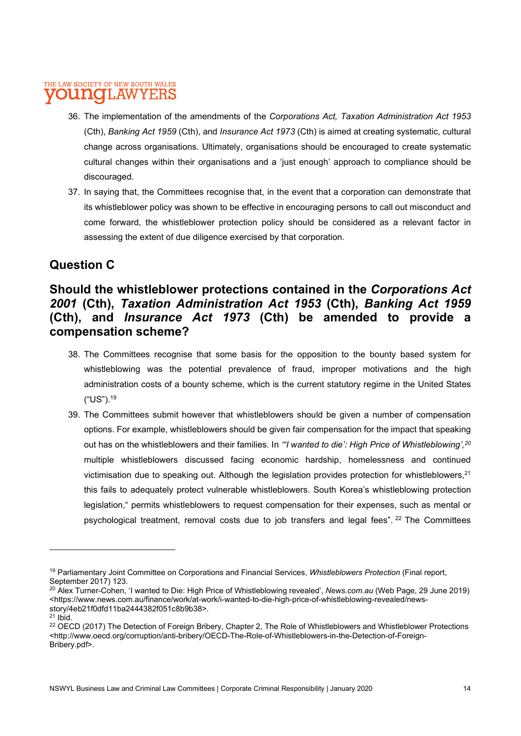- 36. The implementation of the amendments of the Corporations Act, Taxation Administration Act 1953 (Cth), Banking Act 1959 (Cth), and Insurance Act 1973 (Cth) is aimed at creating systematic, cultural change across organisations. Ultimately, organisations should be encouraged to create systematic cultural changes within their organisations and a 'just enough' approach to compliance should be discouraged.
- 37. In saying that, the Committees recognise that, in the event that a corporation can demonstrate that its whistleblower policy was shown to be effective in encouraging persons to call out misconduct and come forward, the whistleblower protection policy should be considered as a relevant factor in assessing the extent of due diligence exercised by that corporation.

## Question C

## Should the whistleblower protections contained in the Corporations Act 2001 (Cth), Taxation Administration Act 1953 (Cth), Banking Act 1959 (Cth), and Insurance Act 1973 (Cth) be amended to provide a compensation scheme?

- 38. The Committees recognise that some basis for the opposition to the bounty based system for whistleblowing was the potential prevalence of fraud, improper motivations and the high administration costs of a bounty scheme, which is the current statutory regime in the United States ("US").<sup>19</sup>
- 39. The Committees submit however that whistleblowers should be given a number of compensation options. For example, whistleblowers should be given fair compensation for the impact that speaking out has on the whistleblowers and their families. In "I wanted to die': High Price of Whistleblowing', 20 multiple whistleblowers discussed facing economic hardship, homelessness and continued victimisation due to speaking out. Although the legislation provides protection for whistleblowers, <sup>21</sup> this fails to adequately protect vulnerable whistleblowers. South Korea's whistleblowing protection legislation," permits whistleblowers to request compensation for their expenses, such as mental or psychological treatment, removal costs due to job transfers and legal fees". <sup>22</sup> The Committees

<sup>&</sup>lt;sup>19</sup> Parliamentary Joint Committee on Corporations and Financial Services, Whistleblowers Protection (Final report, September 2017) 123.

<sup>&</sup>lt;sup>20</sup> Alex Turner-Cohen, 'I wanted to Die: High Price of Whistleblowing revealed', News.com.au (Web Page, 29 June 2019) <https://www.news.com.au/finance/work/at-work/i-wanted-to-die-high-price-of-whistleblowing-revealed/newsstory/4eb21f0dfd11ba2444382f051c8b9b38>.

 $21$  Ibid.

<sup>&</sup>lt;sup>22</sup> OECD (2017) The Detection of Foreign Bribery, Chapter 2, The Role of Whistleblowers and Whistleblower Protections <http://www.oecd.org/corruption/anti-bribery/OECD-The-Role-of-Whistleblowers-in-the-Detection-of-Foreign-Bribery.pdf>.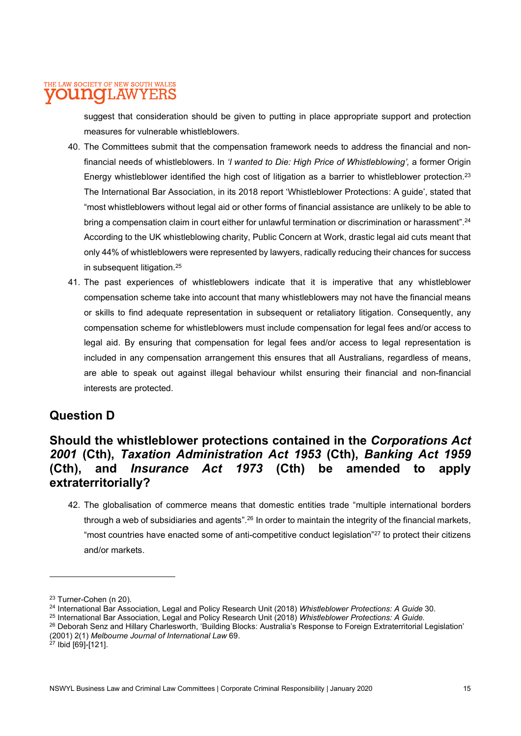suggest that consideration should be given to putting in place appropriate support and protection measures for vulnerable whistleblowers.

- 40. The Committees submit that the compensation framework needs to address the financial and nonfinancial needs of whistleblowers. In '*I wanted to Die: High Price of Whistleblowing'*, a former Origin Energy whistleblower identified the high cost of litigation as a barrier to whistleblower protection.<sup>23</sup> The International Bar Association, in its 2018 report 'Whistleblower Protections: A guide', stated that "most whistleblowers without legal aid or other forms of financial assistance are unlikely to be able to bring a compensation claim in court either for unlawful termination or discrimination or harassment".<sup>24</sup> According to the UK whistleblowing charity, Public Concern at Work, drastic legal aid cuts meant that only 44% of whistleblowers were represented by lawyers, radically reducing their chances for success in subsequent litigation.<sup>25</sup>
- 41. The past experiences of whistleblowers indicate that it is imperative that any whistleblower compensation scheme take into account that many whistleblowers may not have the financial means or skills to find adequate representation in subsequent or retaliatory litigation. Consequently, any compensation scheme for whistleblowers must include compensation for legal fees and/or access to legal aid. By ensuring that compensation for legal fees and/or access to legal representation is included in any compensation arrangement this ensures that all Australians, regardless of means, are able to speak out against illegal behaviour whilst ensuring their financial and non-financial interests are protected.

## Question D

## Should the whistleblower protections contained in the Corporations Act 2001 (Cth), Taxation Administration Act 1953 (Cth), Banking Act 1959 (Cth), and Insurance Act 1973 (Cth) be amended to apply extraterritorially?

42. The globalisation of commerce means that domestic entities trade "multiple international borders through a web of subsidiaries and agents".<sup>26</sup> In order to maintain the integrity of the financial markets, "most countries have enacted some of anti-competitive conduct legislation"<sup>27</sup> to protect their citizens and/or markets.

<sup>23</sup> Turner-Cohen (n 20).

<sup>&</sup>lt;sup>24</sup> International Bar Association, Legal and Policy Research Unit (2018) Whistleblower Protections: A Guide 30.

<sup>&</sup>lt;sup>25</sup> International Bar Association, Legal and Policy Research Unit (2018) Whistleblower Protections: A Guide.

<sup>&</sup>lt;sup>26</sup> Deborah Senz and Hillary Charlesworth, 'Building Blocks: Australia's Response to Foreign Extraterritorial Legislation' (2001) 2(1) Melbourne Journal of International Law 69.

<sup>27</sup> Ibid [69]-[121].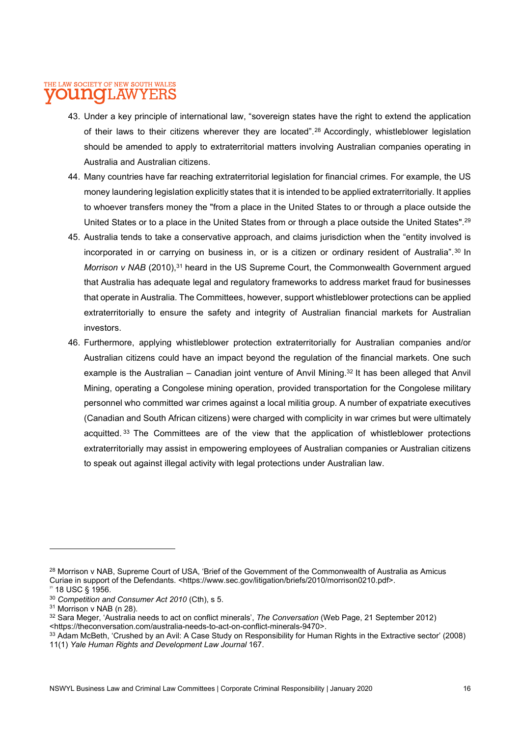- 43. Under a key principle of international law, "sovereign states have the right to extend the application of their laws to their citizens wherever they are located".<sup>28</sup> Accordingly, whistleblower legislation should be amended to apply to extraterritorial matters involving Australian companies operating in Australia and Australian citizens.
- 44. Many countries have far reaching extraterritorial legislation for financial crimes. For example, the US money laundering legislation explicitly states that it is intended to be applied extraterritorially. It applies to whoever transfers money the "from a place in the United States to or through a place outside the United States or to a place in the United States from or through a place outside the United States".<sup>29</sup>
- 45. Australia tends to take a conservative approach, and claims jurisdiction when the "entity involved is incorporated in or carrying on business in, or is a citizen or ordinary resident of Australia".<sup>30</sup> In Morrison v NAB (2010), $31$  heard in the US Supreme Court, the Commonwealth Government arqued that Australia has adequate legal and regulatory frameworks to address market fraud for businesses that operate in Australia. The Committees, however, support whistleblower protections can be applied extraterritorially to ensure the safety and integrity of Australian financial markets for Australian investors.
- 46. Furthermore, applying whistleblower protection extraterritorially for Australian companies and/or Australian citizens could have an impact beyond the regulation of the financial markets. One such example is the Australian – Canadian joint venture of Anvil Mining.<sup>32</sup> It has been alleged that Anvil Mining, operating a Congolese mining operation, provided transportation for the Congolese military personnel who committed war crimes against a local militia group. A number of expatriate executives (Canadian and South African citizens) were charged with complicity in war crimes but were ultimately acquitted. <sup>33</sup> The Committees are of the view that the application of whistleblower protections extraterritorially may assist in empowering employees of Australian companies or Australian citizens to speak out against illegal activity with legal protections under Australian law.

<sup>&</sup>lt;sup>28</sup> Morrison v NAB, Supreme Court of USA, 'Brief of the Government of the Commonwealth of Australia as Amicus Curiae in support of the Defendants. <https://www.sec.gov/litigation/briefs/2010/morrison0210.pdf>.

 $9$  18 USC § 1956.

<sup>&</sup>lt;sup>30</sup> Competition and Consumer Act 2010 (Cth), s 5.

<sup>&</sup>lt;sup>31</sup> Morrison v NAB (n 28).

<sup>32</sup> Sara Meger, 'Australia needs to act on conflict minerals', The Conversation (Web Page, 21 September 2012) <https://theconversation.com/australia-needs-to-act-on-conflict-minerals-9470>.

<sup>33</sup> Adam McBeth, 'Crushed by an Avil: A Case Study on Responsibility for Human Rights in the Extractive sector' (2008) 11(1) Yale Human Rights and Development Law Journal 167.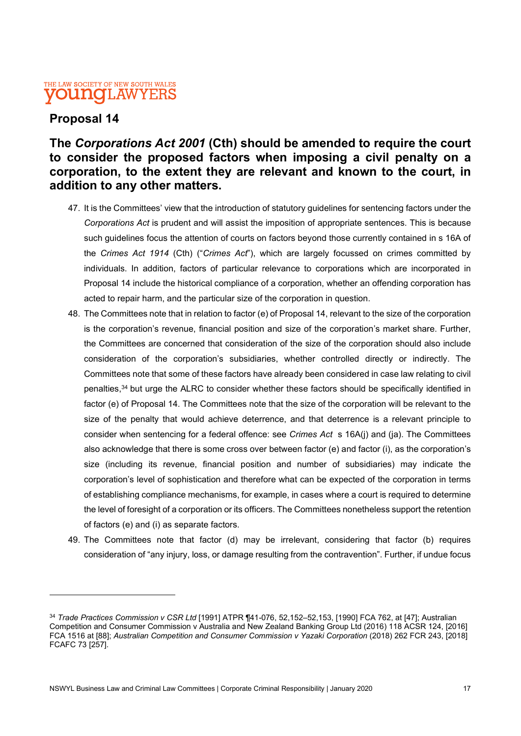## Proposal 14

## The Corporations Act 2001 (Cth) should be amended to require the court to consider the proposed factors when imposing a civil penalty on a corporation, to the extent they are relevant and known to the court, in addition to any other matters.

- 47. It is the Committees' view that the introduction of statutory guidelines for sentencing factors under the Corporations Act is prudent and will assist the imposition of appropriate sentences. This is because such guidelines focus the attention of courts on factors beyond those currently contained in s 16A of the Crimes Act 1914 (Cth) ("Crimes Act"), which are largely focussed on crimes committed by individuals. In addition, factors of particular relevance to corporations which are incorporated in Proposal 14 include the historical compliance of a corporation, whether an offending corporation has acted to repair harm, and the particular size of the corporation in question.
- 48. The Committees note that in relation to factor (e) of Proposal 14, relevant to the size of the corporation is the corporation's revenue, financial position and size of the corporation's market share. Further, the Committees are concerned that consideration of the size of the corporation should also include consideration of the corporation's subsidiaries, whether controlled directly or indirectly. The Committees note that some of these factors have already been considered in case law relating to civil penalties,<sup>34</sup> but urge the ALRC to consider whether these factors should be specifically identified in factor (e) of Proposal 14. The Committees note that the size of the corporation will be relevant to the size of the penalty that would achieve deterrence, and that deterrence is a relevant principle to consider when sentencing for a federal offence: see Crimes Act s 16A(j) and (ja). The Committees also acknowledge that there is some cross over between factor (e) and factor (i), as the corporation's size (including its revenue, financial position and number of subsidiaries) may indicate the corporation's level of sophistication and therefore what can be expected of the corporation in terms of establishing compliance mechanisms, for example, in cases where a court is required to determine the level of foresight of a corporation or its officers. The Committees nonetheless support the retention of factors (e) and (i) as separate factors.
- 49. The Committees note that factor (d) may be irrelevant, considering that factor (b) requires consideration of "any injury, loss, or damage resulting from the contravention". Further, if undue focus

<sup>34</sup> Trade Practices Commission v CSR Ltd [1991] ATPR ¶41-076, 52,152-52,153, [1990] FCA 762, at [47]; Australian Competition and Consumer Commission v Australia and New Zealand Banking Group Ltd (2016) 118 ACSR 124, [2016] FCA 1516 at [88]; Australian Competition and Consumer Commission v Yazaki Corporation (2018) 262 FCR 243, [2018] FCAFC 73 [257].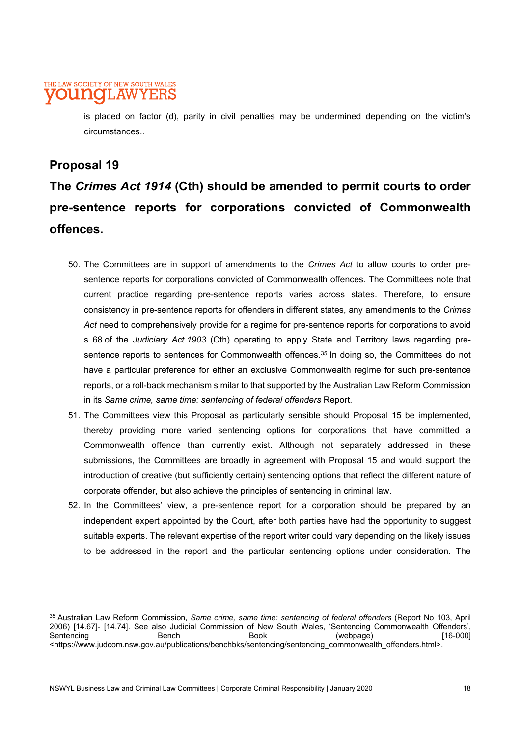is placed on factor (d), parity in civil penalties may be undermined depending on the victim's circumstances..

## Proposal 19

## The Crimes Act 1914 (Cth) should be amended to permit courts to order pre-sentence reports for corporations convicted of Commonwealth offences.

- 50. The Committees are in support of amendments to the Crimes Act to allow courts to order presentence reports for corporations convicted of Commonwealth offences. The Committees note that current practice regarding pre-sentence reports varies across states. Therefore, to ensure consistency in pre-sentence reports for offenders in different states, any amendments to the Crimes Act need to comprehensively provide for a regime for pre-sentence reports for corporations to avoid s 68 of the Judiciary Act 1903 (Cth) operating to apply State and Territory laws regarding presentence reports to sentences for Commonwealth offences.<sup>35</sup> In doing so, the Committees do not have a particular preference for either an exclusive Commonwealth regime for such pre-sentence reports, or a roll-back mechanism similar to that supported by the Australian Law Reform Commission in its Same crime, same time: sentencing of federal offenders Report.
- 51. The Committees view this Proposal as particularly sensible should Proposal 15 be implemented, thereby providing more varied sentencing options for corporations that have committed a Commonwealth offence than currently exist. Although not separately addressed in these submissions, the Committees are broadly in agreement with Proposal 15 and would support the introduction of creative (but sufficiently certain) sentencing options that reflect the different nature of corporate offender, but also achieve the principles of sentencing in criminal law.
- 52. In the Committees' view, a pre-sentence report for a corporation should be prepared by an independent expert appointed by the Court, after both parties have had the opportunity to suggest suitable experts. The relevant expertise of the report writer could vary depending on the likely issues to be addressed in the report and the particular sentencing options under consideration. The

<sup>35</sup> Australian Law Reform Commission, Same crime, same time: sentencing of federal offenders (Report No 103, April 2006) [14.67]- [14.74]. See also Judicial Commission of New South Wales, 'Sentencing Commonwealth Offenders', Sentencing Bench Book (webpage) [16-000] <https://www.judcom.nsw.gov.au/publications/benchbks/sentencing/sentencing\_commonwealth\_offenders.html>.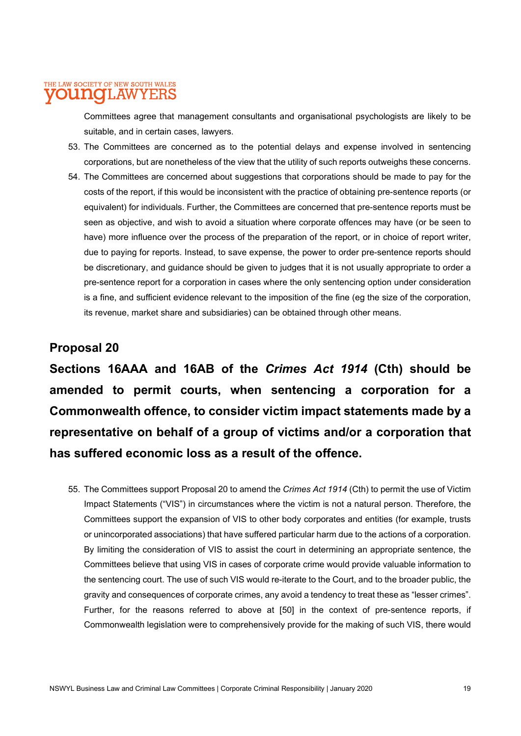Committees agree that management consultants and organisational psychologists are likely to be suitable, and in certain cases, lawyers.

- 53. The Committees are concerned as to the potential delays and expense involved in sentencing corporations, but are nonetheless of the view that the utility of such reports outweighs these concerns.
- 54. The Committees are concerned about suggestions that corporations should be made to pay for the costs of the report, if this would be inconsistent with the practice of obtaining pre-sentence reports (or equivalent) for individuals. Further, the Committees are concerned that pre-sentence reports must be seen as objective, and wish to avoid a situation where corporate offences may have (or be seen to have) more influence over the process of the preparation of the report, or in choice of report writer, due to paying for reports. Instead, to save expense, the power to order pre-sentence reports should be discretionary, and guidance should be given to judges that it is not usually appropriate to order a pre-sentence report for a corporation in cases where the only sentencing option under consideration is a fine, and sufficient evidence relevant to the imposition of the fine (eg the size of the corporation, its revenue, market share and subsidiaries) can be obtained through other means.

## Proposal 20

Sections 16AAA and 16AB of the Crimes Act 1914 (Cth) should be amended to permit courts, when sentencing a corporation for a Commonwealth offence, to consider victim impact statements made by a representative on behalf of a group of victims and/or a corporation that has suffered economic loss as a result of the offence.

55. The Committees support Proposal 20 to amend the Crimes Act 1914 (Cth) to permit the use of Victim Impact Statements ("VIS") in circumstances where the victim is not a natural person. Therefore, the Committees support the expansion of VIS to other body corporates and entities (for example, trusts or unincorporated associations) that have suffered particular harm due to the actions of a corporation. By limiting the consideration of VIS to assist the court in determining an appropriate sentence, the Committees believe that using VIS in cases of corporate crime would provide valuable information to the sentencing court. The use of such VIS would re-iterate to the Court, and to the broader public, the gravity and consequences of corporate crimes, any avoid a tendency to treat these as "lesser crimes". Further, for the reasons referred to above at [50] in the context of pre-sentence reports, if Commonwealth legislation were to comprehensively provide for the making of such VIS, there would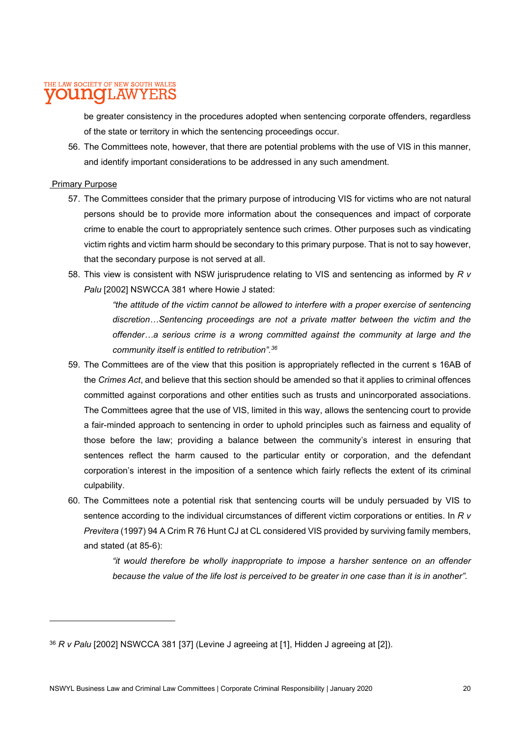be greater consistency in the procedures adopted when sentencing corporate offenders, regardless of the state or territory in which the sentencing proceedings occur.

56. The Committees note, however, that there are potential problems with the use of VIS in this manner, and identify important considerations to be addressed in any such amendment.

#### Primary Purpose

- 57. The Committees consider that the primary purpose of introducing VIS for victims who are not natural persons should be to provide more information about the consequences and impact of corporate crime to enable the court to appropriately sentence such crimes. Other purposes such as vindicating victim rights and victim harm should be secondary to this primary purpose. That is not to say however, that the secondary purpose is not served at all.
- 58. This view is consistent with NSW jurisprudence relating to VIS and sentencing as informed by R v Palu [2002] NSWCCA 381 where Howie J stated:

"the attitude of the victim cannot be allowed to interfere with a proper exercise of sentencing discretion…Sentencing proceedings are not a private matter between the victim and the offender…a serious crime is a wrong committed against the community at large and the community itself is entitled to retribution".<sup>36</sup>

- 59. The Committees are of the view that this position is appropriately reflected in the current s 16AB of the Crimes Act, and believe that this section should be amended so that it applies to criminal offences committed against corporations and other entities such as trusts and unincorporated associations. The Committees agree that the use of VIS, limited in this way, allows the sentencing court to provide a fair-minded approach to sentencing in order to uphold principles such as fairness and equality of those before the law; providing a balance between the community's interest in ensuring that sentences reflect the harm caused to the particular entity or corporation, and the defendant corporation's interest in the imposition of a sentence which fairly reflects the extent of its criminal culpability.
- 60. The Committees note a potential risk that sentencing courts will be unduly persuaded by VIS to sentence according to the individual circumstances of different victim corporations or entities. In R v Previtera (1997) 94 A Crim R 76 Hunt CJ at CL considered VIS provided by surviving family members, and stated (at 85-6):

"it would therefore be wholly inappropriate to impose a harsher sentence on an offender because the value of the life lost is perceived to be greater in one case than it is in another".

 $36 R$  v Palu [2002] NSWCCA 381 [37] (Levine J agreeing at [1], Hidden J agreeing at [2]).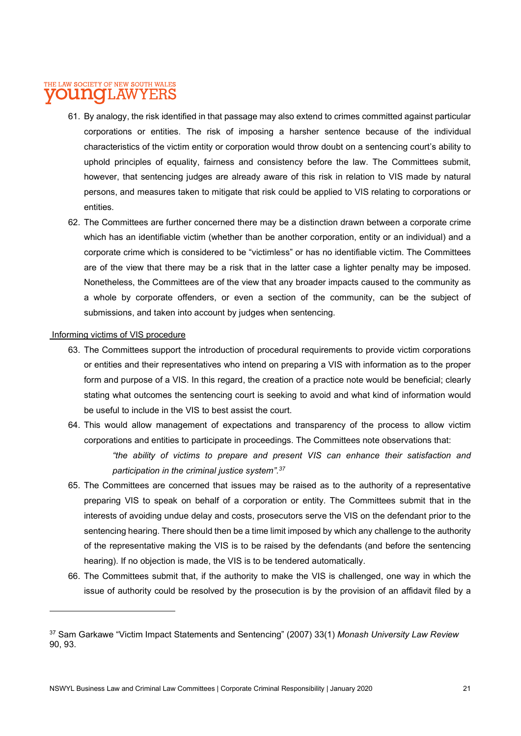- 61. By analogy, the risk identified in that passage may also extend to crimes committed against particular corporations or entities. The risk of imposing a harsher sentence because of the individual characteristics of the victim entity or corporation would throw doubt on a sentencing court's ability to uphold principles of equality, fairness and consistency before the law. The Committees submit, however, that sentencing judges are already aware of this risk in relation to VIS made by natural persons, and measures taken to mitigate that risk could be applied to VIS relating to corporations or entities.
- 62. The Committees are further concerned there may be a distinction drawn between a corporate crime which has an identifiable victim (whether than be another corporation, entity or an individual) and a corporate crime which is considered to be "victimless" or has no identifiable victim. The Committees are of the view that there may be a risk that in the latter case a lighter penalty may be imposed. Nonetheless, the Committees are of the view that any broader impacts caused to the community as a whole by corporate offenders, or even a section of the community, can be the subject of submissions, and taken into account by judges when sentencing.

#### Informing victims of VIS procedure

- 63. The Committees support the introduction of procedural requirements to provide victim corporations or entities and their representatives who intend on preparing a VIS with information as to the proper form and purpose of a VIS. In this regard, the creation of a practice note would be beneficial; clearly stating what outcomes the sentencing court is seeking to avoid and what kind of information would be useful to include in the VIS to best assist the court.
- 64. This would allow management of expectations and transparency of the process to allow victim corporations and entities to participate in proceedings. The Committees note observations that:

"the ability of victims to prepare and present VIS can enhance their satisfaction and participation in the criminal justice system".<sup>37</sup>

- 65. The Committees are concerned that issues may be raised as to the authority of a representative preparing VIS to speak on behalf of a corporation or entity. The Committees submit that in the interests of avoiding undue delay and costs, prosecutors serve the VIS on the defendant prior to the sentencing hearing. There should then be a time limit imposed by which any challenge to the authority of the representative making the VIS is to be raised by the defendants (and before the sentencing hearing). If no objection is made, the VIS is to be tendered automatically.
- 66. The Committees submit that, if the authority to make the VIS is challenged, one way in which the issue of authority could be resolved by the prosecution is by the provision of an affidavit filed by a

<sup>37</sup> Sam Garkawe "Victim Impact Statements and Sentencing" (2007) 33(1) Monash University Law Review 90, 93.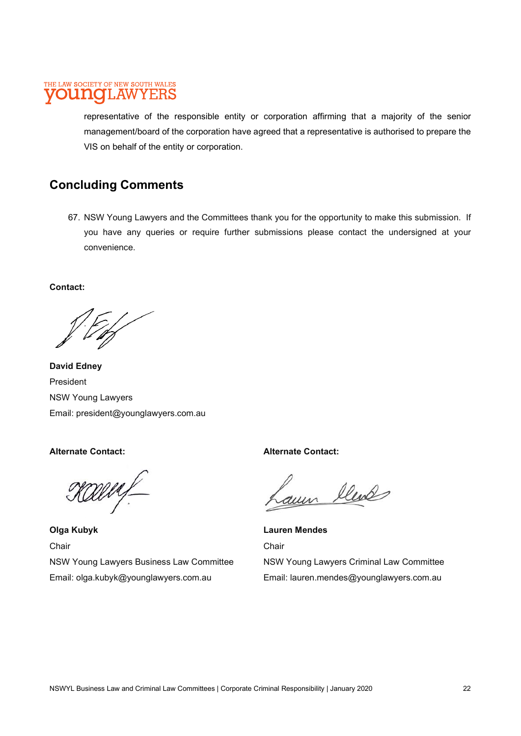representative of the responsible entity or corporation affirming that a majority of the senior management/board of the corporation have agreed that a representative is authorised to prepare the VIS on behalf of the entity or corporation.

## Concluding Comments

67. NSW Young Lawyers and the Committees thank you for the opportunity to make this submission. If you have any queries or require further submissions please contact the undersigned at your convenience.

Contact:

David Edney President NSW Young Lawyers Email: president@younglawyers.com.au

Alternate Contact:

MAL

Olga Kubyk **Chair** NSW Young Lawyers Business Law Committee Email: olga.kubyk@younglawyers.com.au

Alternate Contact:

aum lled

Lauren Mendes **Chair** NSW Young Lawyers Criminal Law Committee Email: lauren.mendes@younglawyers.com.au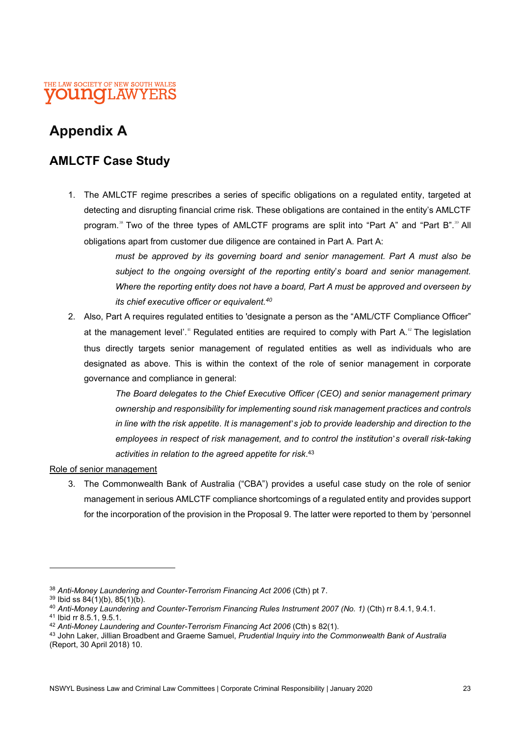

## Appendix A

## AMLCTF Case Study

1. The AMLCTF regime prescribes a series of specific obligations on a regulated entity, targeted at detecting and disrupting financial crime risk. These obligations are contained in the entity's AMLCTF program.<sup>38</sup> Two of the three types of AMLCTF programs are split into "Part A" and "Part B".<sup>39</sup> All obligations apart from customer due diligence are contained in Part A. Part A:

> must be approved by its governing board and senior management. Part A must also be subject to the ongoing oversight of the reporting entity's board and senior management. Where the reporting entity does not have a board, Part A must be approved and overseen by its chief executive officer or equivalent.<sup>40</sup>

2. Also, Part A requires regulated entities to 'designate a person as the "AML/CTF Compliance Officer" at the management level'.<sup>41</sup> Regulated entities are required to comply with Part  $A^{42}$  The legislation thus directly targets senior management of regulated entities as well as individuals who are designated as above. This is within the context of the role of senior management in corporate governance and compliance in general:

> The Board delegates to the Chief Executive Officer (CEO) and senior management primary ownership and responsibility for implementing sound risk management practices and controls in line with the risk appetite. It is management's job to provide leadership and direction to the employees in respect of risk management, and to control the institution's overall risk-taking activities in relation to the agreed appetite for risk.<sup>43</sup>

#### Role of senior management

3. The Commonwealth Bank of Australia ("CBA") provides a useful case study on the role of senior management in serious AMLCTF compliance shortcomings of a regulated entity and provides support for the incorporation of the provision in the Proposal 9. The latter were reported to them by 'personnel

<sup>&</sup>lt;sup>38</sup> Anti-Money Laundering and Counter-Terrorism Financing Act 2006 (Cth) pt 7.

 $39$  Ibid ss  $84(1)(b)$ ,  $85(1)(b)$ .

<sup>40</sup> Anti-Money Laundering and Counter-Terrorism Financing Rules Instrument 2007 (No. 1) (Cth) rr 8.4.1, 9.4.1.

<sup>41</sup> Ibid rr 8.5.1, 9.5.1.

<sup>42</sup> Anti-Money Laundering and Counter-Terrorism Financing Act 2006 (Cth) s 82(1).

<sup>43</sup> John Laker, Jillian Broadbent and Graeme Samuel, Prudential Inquiry into the Commonwealth Bank of Australia (Report, 30 April 2018) 10.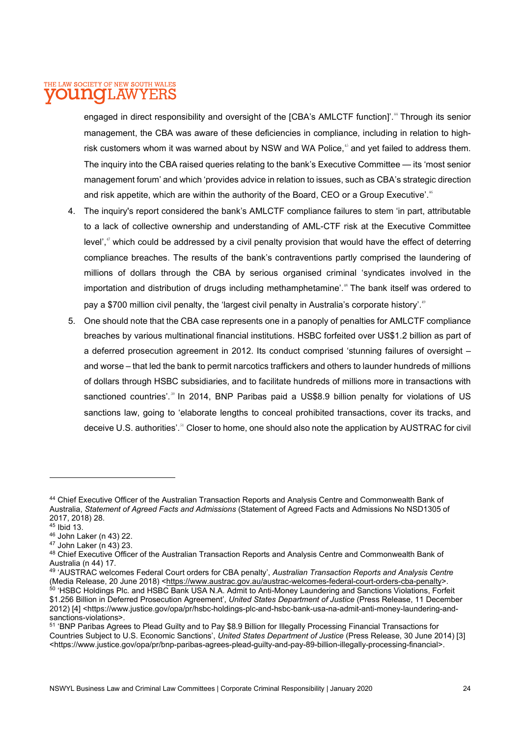engaged in direct responsibility and oversight of the [CBA's AMLCTF function]'.<sup>44</sup> Through its senior management, the CBA was aware of these deficiencies in compliance, including in relation to highrisk customers whom it was warned about by NSW and WA Police,<sup>45</sup> and yet failed to address them. The inquiry into the CBA raised queries relating to the bank's Executive Committee — its 'most senior management forum' and which 'provides advice in relation to issues, such as CBA's strategic direction and risk appetite, which are within the authority of the Board, CEO or a Group Executive'.<sup>46</sup>

- 4. The inquiry's report considered the bank's AMLCTF compliance failures to stem 'in part, attributable to a lack of collective ownership and understanding of AML-CTF risk at the Executive Committee level',<sup>47</sup> which could be addressed by a civil penalty provision that would have the effect of deterring compliance breaches. The results of the bank's contraventions partly comprised the laundering of millions of dollars through the CBA by serious organised criminal 'syndicates involved in the importation and distribution of drugs including methamphetamine'.<sup>48</sup> The bank itself was ordered to pay a \$700 million civil penalty, the 'largest civil penalty in Australia's corporate history'.<sup>49</sup>
- 5. One should note that the CBA case represents one in a panoply of penalties for AMLCTF compliance breaches by various multinational financial institutions. HSBC forfeited over US\$1.2 billion as part of a deferred prosecution agreement in 2012. Its conduct comprised 'stunning failures of oversight – and worse – that led the bank to permit narcotics traffickers and others to launder hundreds of millions of dollars through HSBC subsidiaries, and to facilitate hundreds of millions more in transactions with sanctioned countries'.<sup>50</sup> In 2014, BNP Paribas paid a US\$8.9 billion penalty for violations of US sanctions law, going to 'elaborate lengths to conceal prohibited transactions, cover its tracks, and deceive U.S. authorities'.<sup>51</sup> Closer to home, one should also note the application by AUSTRAC for civil

<sup>44</sup> Chief Executive Officer of the Australian Transaction Reports and Analysis Centre and Commonwealth Bank of Australia, Statement of Agreed Facts and Admissions (Statement of Agreed Facts and Admissions No NSD1305 of 2017, 2018) 28.

<sup>45</sup> Ibid 13.

<sup>46</sup> John Laker (n 43) 22.

 $47$  John Laker (n 43) 23.

<sup>48</sup> Chief Executive Officer of the Australian Transaction Reports and Analysis Centre and Commonwealth Bank of Australia (n 44) 17.

<sup>49 &#</sup>x27;AUSTRAC welcomes Federal Court orders for CBA penalty', Australian Transaction Reports and Analysis Centre (Media Release, 20 June 2018) <https://www.austrac.gov.au/austrac-welcomes-federal-court-orders-cba-penalty>. <sup>50</sup> 'HSBC Holdings Plc. and HSBC Bank USA N.A. Admit to Anti-Money Laundering and Sanctions Violations, Forfeit \$1.256 Billion in Deferred Prosecution Agreement', United States Department of Justice (Press Release, 11 December 2012) [4] <https://www.justice.gov/opa/pr/hsbc-holdings-plc-and-hsbc-bank-usa-na-admit-anti-money-laundering-and-

sanctions-violations>.

<sup>51</sup> 'BNP Paribas Agrees to Plead Guilty and to Pay \$8.9 Billion for Illegally Processing Financial Transactions for Countries Subject to U.S. Economic Sanctions', United States Department of Justice (Press Release, 30 June 2014) [3] <https://www.justice.gov/opa/pr/bnp-paribas-agrees-plead-guilty-and-pay-89-billion-illegally-processing-financial>.